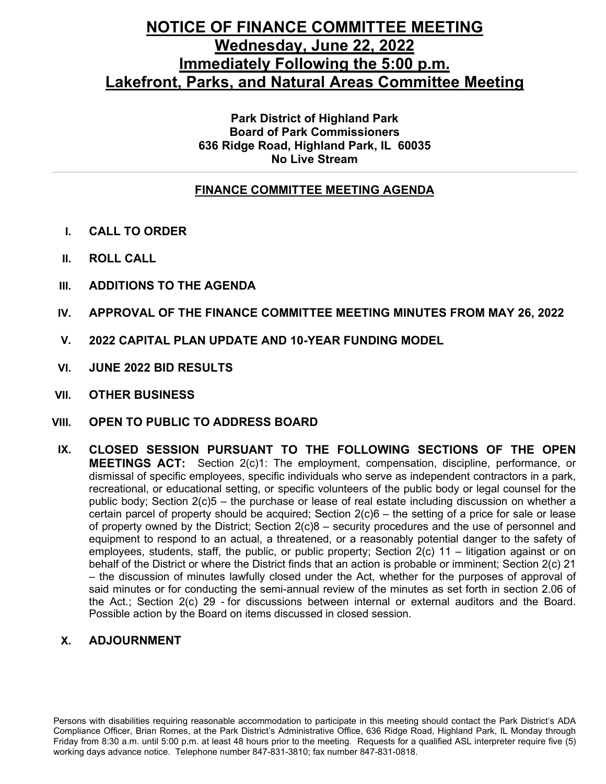## **NOTICE OF FINANCE COMMITTEE MEETING Wednesday, June 22, 2022 Immediately Following the 5:00 p.m. Lakefront, Parks, and Natural Areas Committee Meeting**

### **Park District of Highland Park Board of Park Commissioners 636 Ridge Road, Highland Park, IL 60035 No Live Stream**

## **FINANCE COMMITTEE MEETING AGENDA**

- **I. CALL TO ORDER**
- **II. ROLL CALL**
- **III. ADDITIONS TO THE AGENDA**
- **IV. APPROVAL OF THE FINANCE COMMITTEE MEETING MINUTES FROM MAY 26, 2022**
- **V. 2022 CAPITAL PLAN UPDATE AND 10-YEAR FUNDING MODEL**
- **VI. JUNE 2022 BID RESULTS**
- **VII. OTHER BUSINESS**
- **VIII. OPEN TO PUBLIC TO ADDRESS BOARD**
- **IX. CLOSED SESSION PURSUANT TO THE FOLLOWING SECTIONS OF THE OPEN MEETINGS ACT:** Section 2(c)1: The employment, compensation, discipline, performance, or dismissal of specific employees, specific individuals who serve as independent contractors in a park, recreational, or educational setting, or specific volunteers of the public body or legal counsel for the public body; Section 2(c)5 – the purchase or lease of real estate including discussion on whether a certain parcel of property should be acquired; Section 2(c)6 – the setting of a price for sale or lease of property owned by the District; Section 2(c)8 – security procedures and the use of personnel and equipment to respond to an actual, a threatened, or a reasonably potential danger to the safety of employees, students, staff, the public, or public property; Section 2(c) 11 – litigation against or on behalf of the District or where the District finds that an action is probable or imminent; Section 2(c) 21 – the discussion of minutes lawfully closed under the Act, whether for the purposes of approval of said minutes or for conducting the semi-annual review of the minutes as set forth in section 2.06 of the Act.; Section 2(c) 29 - for discussions between internal or external auditors and the Board. Possible action by the Board on items discussed in closed session.

## **X. ADJOURNMENT**

Persons with disabilities requiring reasonable accommodation to participate in this meeting should contact the Park District's ADA Compliance Officer, Brian Romes, at the Park District's Administrative Office, 636 Ridge Road, Highland Park, IL Monday through Friday from 8:30 a.m. until 5:00 p.m. at least 48 hours prior to the meeting. Requests for a qualified ASL interpreter require five (5) working days advance notice. Telephone number 847-831-3810; fax number 847-831-0818.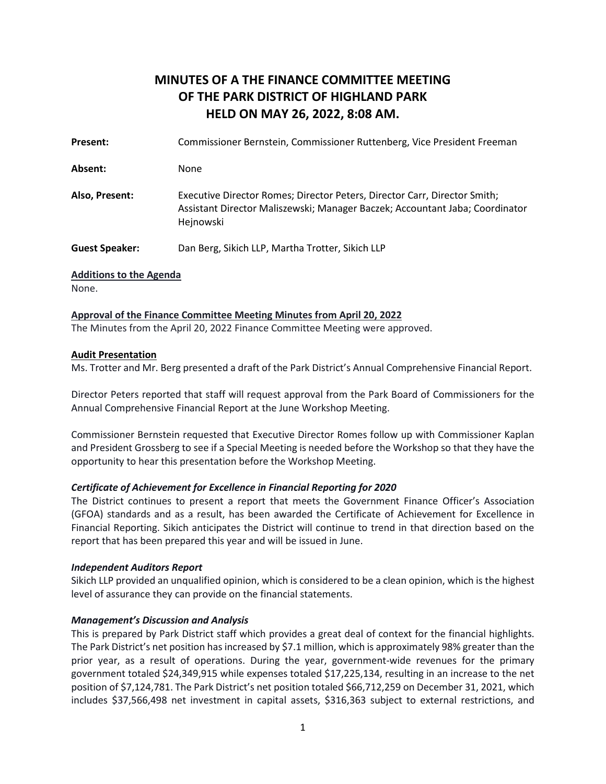## **MINUTES OF A THE FINANCE COMMITTEE MEETING OF THE PARK DISTRICT OF HIGHLAND PARK HELD ON MAY 26, 2022, 8:08 AM.**

| Present:                       | Commissioner Bernstein, Commissioner Ruttenberg, Vice President Freeman                                                                                                |
|--------------------------------|------------------------------------------------------------------------------------------------------------------------------------------------------------------------|
| Absent:                        | None                                                                                                                                                                   |
| Also, Present:                 | Executive Director Romes; Director Peters, Director Carr, Director Smith;<br>Assistant Director Maliszewski; Manager Baczek; Accountant Jaba; Coordinator<br>Hejnowski |
| <b>Guest Speaker:</b>          | Dan Berg, Sikich LLP, Martha Trotter, Sikich LLP                                                                                                                       |
| <b>Additions to the Agenda</b> |                                                                                                                                                                        |
| None.                          |                                                                                                                                                                        |

**Approval of the Finance Committee Meeting Minutes from April 20, 2022**  The Minutes from the April 20, 2022 Finance Committee Meeting were approved.

#### **Audit Presentation**

Ms. Trotter and Mr. Berg presented a draft of the Park District's Annual Comprehensive Financial Report.

Director Peters reported that staff will request approval from the Park Board of Commissioners for the Annual Comprehensive Financial Report at the June Workshop Meeting.

Commissioner Bernstein requested that Executive Director Romes follow up with Commissioner Kaplan and President Grossberg to see if a Special Meeting is needed before the Workshop so that they have the opportunity to hear this presentation before the Workshop Meeting.

#### *Certificate of Achievement for Excellence in Financial Reporting for 2020*

The District continues to present a report that meets the Government Finance Officer's Association (GFOA) standards and as a result, has been awarded the Certificate of Achievement for Excellence in Financial Reporting. Sikich anticipates the District will continue to trend in that direction based on the report that has been prepared this year and will be issued in June.

#### *Independent Auditors Report*

Sikich LLP provided an unqualified opinion, which is considered to be a clean opinion, which is the highest level of assurance they can provide on the financial statements.

#### *Management's Discussion and Analysis*

This is prepared by Park District staff which provides a great deal of context for the financial highlights. The Park District's net position has increased by \$7.1 million, which is approximately 98% greater than the prior year, as a result of operations. During the year, government-wide revenues for the primary government totaled \$24,349,915 while expenses totaled \$17,225,134, resulting in an increase to the net position of \$7,124,781. The Park District's net position totaled \$66,712,259 on December 31, 2021, which includes \$37,566,498 net investment in capital assets, \$316,363 subject to external restrictions, and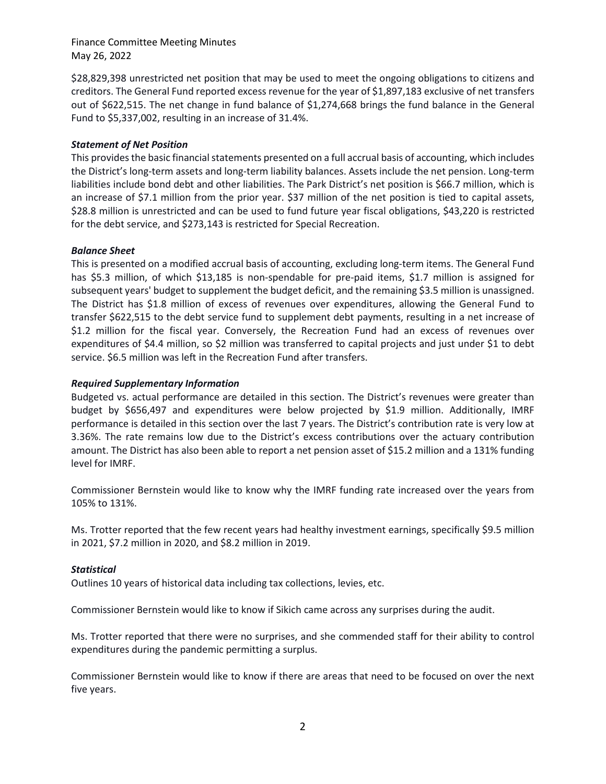Finance Committee Meeting Minutes May 26, 2022

\$28,829,398 unrestricted net position that may be used to meet the ongoing obligations to citizens and creditors. The General Fund reported excess revenue for the year of \$1,897,183 exclusive of net transfers out of \$622,515. The net change in fund balance of \$1,274,668 brings the fund balance in the General Fund to \$5,337,002, resulting in an increase of 31.4%.

#### *Statement of Net Position*

This provides the basic financial statements presented on a full accrual basis of accounting, which includes the District's long-term assets and long-term liability balances. Assets include the net pension. Long-term liabilities include bond debt and other liabilities. The Park District's net position is \$66.7 million, which is an increase of \$7.1 million from the prior year. \$37 million of the net position is tied to capital assets, \$28.8 million is unrestricted and can be used to fund future year fiscal obligations, \$43,220 is restricted for the debt service, and \$273,143 is restricted for Special Recreation.

#### *Balance Sheet*

This is presented on a modified accrual basis of accounting, excluding long-term items. The General Fund has \$5.3 million, of which \$13,185 is non-spendable for pre-paid items, \$1.7 million is assigned for subsequent years' budget to supplement the budget deficit, and the remaining \$3.5 million is unassigned. The District has \$1.8 million of excess of revenues over expenditures, allowing the General Fund to transfer \$622,515 to the debt service fund to supplement debt payments, resulting in a net increase of \$1.2 million for the fiscal year. Conversely, the Recreation Fund had an excess of revenues over expenditures of \$4.4 million, so \$2 million was transferred to capital projects and just under \$1 to debt service. \$6.5 million was left in the Recreation Fund after transfers.

#### *Required Supplementary Information*

Budgeted vs. actual performance are detailed in this section. The District's revenues were greater than budget by \$656,497 and expenditures were below projected by \$1.9 million. Additionally, IMRF performance is detailed in this section over the last 7 years. The District's contribution rate is very low at 3.36%. The rate remains low due to the District's excess contributions over the actuary contribution amount. The District has also been able to report a net pension asset of \$15.2 million and a 131% funding level for IMRF.

Commissioner Bernstein would like to know why the IMRF funding rate increased over the years from 105% to 131%.

Ms. Trotter reported that the few recent years had healthy investment earnings, specifically \$9.5 million in 2021, \$7.2 million in 2020, and \$8.2 million in 2019.

#### *Statistical*

Outlines 10 years of historical data including tax collections, levies, etc.

Commissioner Bernstein would like to know if Sikich came across any surprises during the audit.

Ms. Trotter reported that there were no surprises, and she commended staff for their ability to control expenditures during the pandemic permitting a surplus.

Commissioner Bernstein would like to know if there are areas that need to be focused on over the next five years.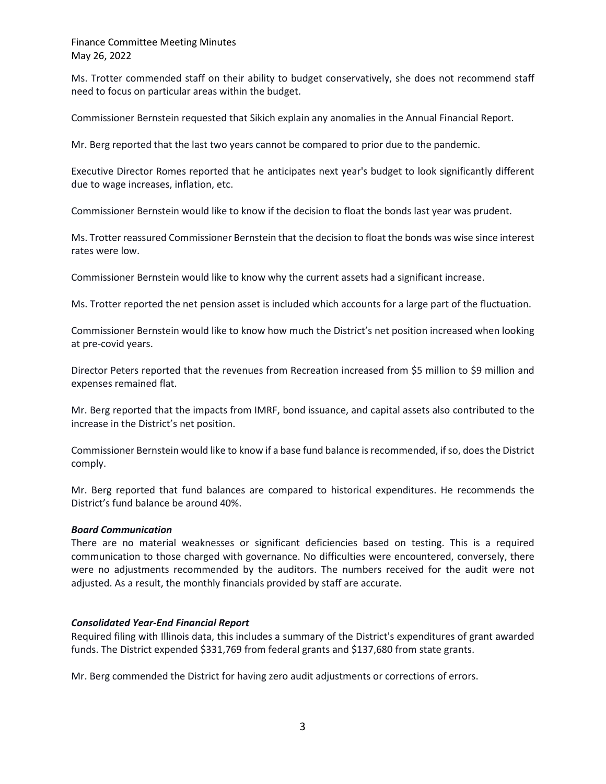Finance Committee Meeting Minutes May 26, 2022

Ms. Trotter commended staff on their ability to budget conservatively, she does not recommend staff need to focus on particular areas within the budget.

Commissioner Bernstein requested that Sikich explain any anomalies in the Annual Financial Report.

Mr. Berg reported that the last two years cannot be compared to prior due to the pandemic.

Executive Director Romes reported that he anticipates next year's budget to look significantly different due to wage increases, inflation, etc.

Commissioner Bernstein would like to know if the decision to float the bonds last year was prudent.

Ms. Trotter reassured Commissioner Bernstein that the decision to float the bonds was wise since interest rates were low.

Commissioner Bernstein would like to know why the current assets had a significant increase.

Ms. Trotter reported the net pension asset is included which accounts for a large part of the fluctuation.

Commissioner Bernstein would like to know how much the District's net position increased when looking at pre-covid years.

Director Peters reported that the revenues from Recreation increased from \$5 million to \$9 million and expenses remained flat.

Mr. Berg reported that the impacts from IMRF, bond issuance, and capital assets also contributed to the increase in the District's net position.

Commissioner Bernstein would like to know if a base fund balance is recommended, if so, does the District comply.

Mr. Berg reported that fund balances are compared to historical expenditures. He recommends the District's fund balance be around 40%.

#### *Board Communication*

There are no material weaknesses or significant deficiencies based on testing. This is a required communication to those charged with governance. No difficulties were encountered, conversely, there were no adjustments recommended by the auditors. The numbers received for the audit were not adjusted. As a result, the monthly financials provided by staff are accurate.

#### *Consolidated Year-End Financial Report*

Required filing with Illinois data, this includes a summary of the District's expenditures of grant awarded funds. The District expended \$331,769 from federal grants and \$137,680 from state grants.

Mr. Berg commended the District for having zero audit adjustments or corrections of errors.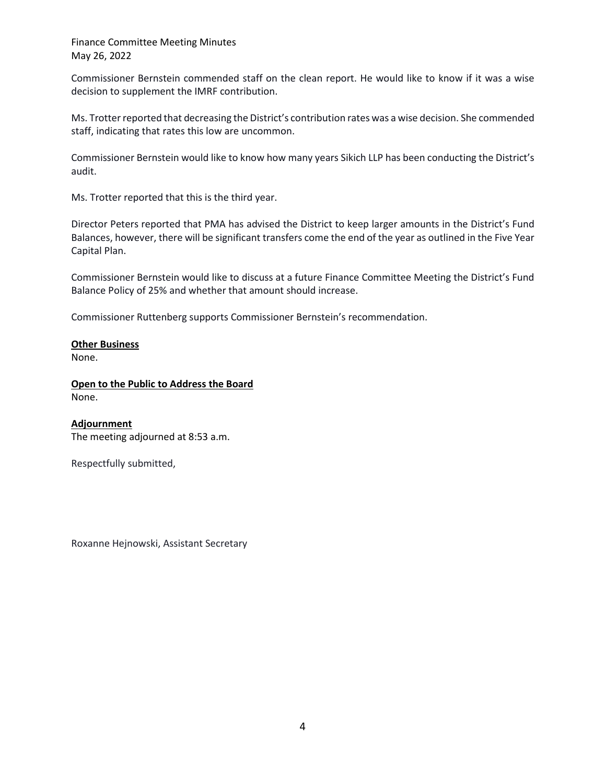Finance Committee Meeting Minutes May 26, 2022

Commissioner Bernstein commended staff on the clean report. He would like to know if it was a wise decision to supplement the IMRF contribution.

Ms. Trotter reported that decreasing the District's contribution rates was a wise decision. She commended staff, indicating that rates this low are uncommon.

Commissioner Bernstein would like to know how many years Sikich LLP has been conducting the District's audit.

Ms. Trotter reported that this is the third year.

Director Peters reported that PMA has advised the District to keep larger amounts in the District's Fund Balances, however, there will be significant transfers come the end of the year as outlined in the Five Year Capital Plan.

Commissioner Bernstein would like to discuss at a future Finance Committee Meeting the District's Fund Balance Policy of 25% and whether that amount should increase.

Commissioner Ruttenberg supports Commissioner Bernstein's recommendation.

#### **Other Business**

None.

**Open to the Public to Address the Board**  None.

#### **Adjournment**  The meeting adjourned at 8:53 a.m.

Respectfully submitted,

Roxanne Hejnowski, Assistant Secretary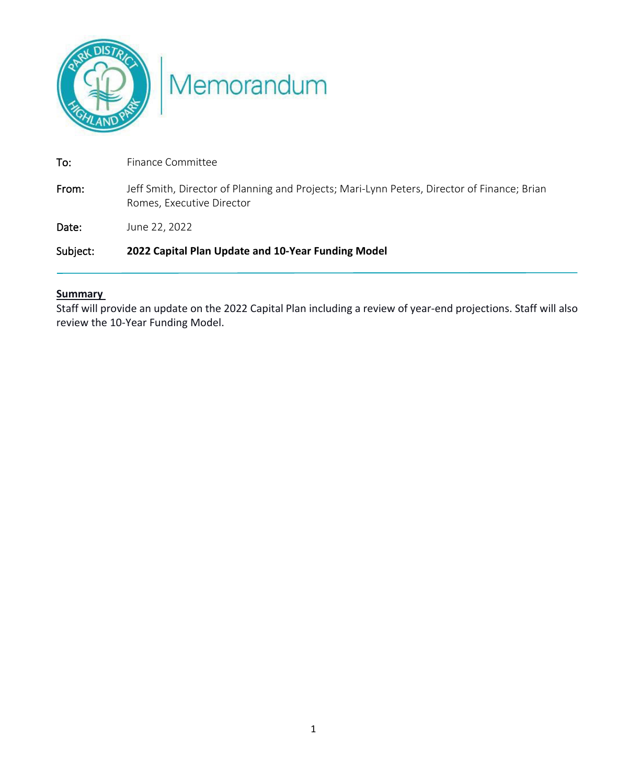

Memorandum

| Date:<br>June 22, 2022             |                                                                                             |
|------------------------------------|---------------------------------------------------------------------------------------------|
| From:<br>Romes, Executive Director | Jeff Smith, Director of Planning and Projects; Mari-Lynn Peters, Director of Finance; Brian |
| Finance Committee<br>To:           |                                                                                             |

## **Summary**

Staff will provide an update on the 2022 Capital Plan including a review of year-end projections. Staff will also review the 10-Year Funding Model.